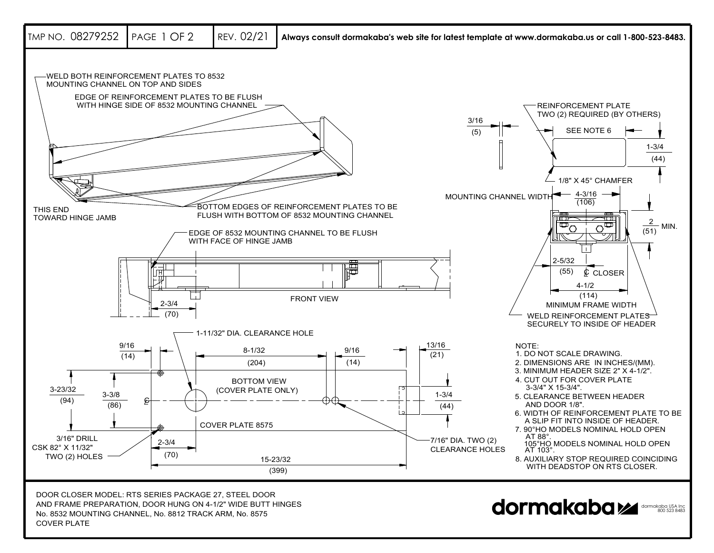